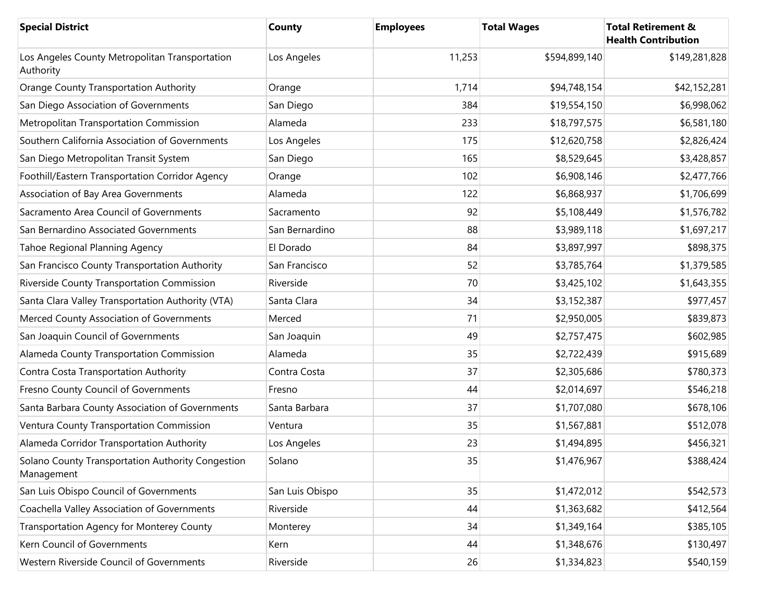| <b>Special District</b>                                         | <b>County</b>   | <b>Employees</b> | <b>Total Wages</b> | <b>Total Retirement &amp;</b><br><b>Health Contribution</b> |
|-----------------------------------------------------------------|-----------------|------------------|--------------------|-------------------------------------------------------------|
| Los Angeles County Metropolitan Transportation<br>Authority     | Los Angeles     | 11,253           | \$594,899,140      | \$149,281,828                                               |
| <b>Orange County Transportation Authority</b>                   | Orange          | 1,714            | \$94,748,154       | \$42,152,281                                                |
| San Diego Association of Governments                            | San Diego       | 384              | \$19,554,150       | \$6,998,062                                                 |
| Metropolitan Transportation Commission                          | Alameda         | 233              | \$18,797,575       | \$6,581,180                                                 |
| Southern California Association of Governments                  | Los Angeles     | 175              | \$12,620,758       | \$2,826,424                                                 |
| San Diego Metropolitan Transit System                           | San Diego       | 165              | \$8,529,645        | \$3,428,857                                                 |
| Foothill/Eastern Transportation Corridor Agency                 | Orange          | 102              | \$6,908,146        | \$2,477,766                                                 |
| Association of Bay Area Governments                             | Alameda         | 122              | \$6,868,937        | \$1,706,699                                                 |
| Sacramento Area Council of Governments                          | Sacramento      | 92               | \$5,108,449        | \$1,576,782                                                 |
| San Bernardino Associated Governments                           | San Bernardino  | 88               | \$3,989,118        | \$1,697,217                                                 |
| Tahoe Regional Planning Agency                                  | El Dorado       | 84               | \$3,897,997        | \$898,375                                                   |
| San Francisco County Transportation Authority                   | San Francisco   | 52               | \$3,785,764        | \$1,379,585                                                 |
| Riverside County Transportation Commission                      | Riverside       | 70               | \$3,425,102        | \$1,643,355                                                 |
| Santa Clara Valley Transportation Authority (VTA)               | Santa Clara     | 34               | \$3,152,387        | \$977,457                                                   |
| Merced County Association of Governments                        | Merced          | 71               | \$2,950,005        | \$839,873                                                   |
| San Joaquin Council of Governments                              | San Joaquin     | 49               | \$2,757,475        | \$602,985                                                   |
| Alameda County Transportation Commission                        | Alameda         | 35               | \$2,722,439        | \$915,689                                                   |
| Contra Costa Transportation Authority                           | Contra Costa    | 37               | \$2,305,686        | \$780,373                                                   |
| Fresno County Council of Governments                            | Fresno          | 44               | \$2,014,697        | \$546,218                                                   |
| Santa Barbara County Association of Governments                 | Santa Barbara   | 37               | \$1,707,080        | \$678,106                                                   |
| Ventura County Transportation Commission                        | Ventura         | 35               | \$1,567,881        | \$512,078                                                   |
| Alameda Corridor Transportation Authority                       | Los Angeles     | 23               | \$1,494,895        | \$456,321                                                   |
| Solano County Transportation Authority Congestion<br>Management | Solano          | 35               | \$1,476,967        | \$388,424                                                   |
| San Luis Obispo Council of Governments                          | San Luis Obispo | 35               | \$1,472,012        | \$542,573                                                   |
| Coachella Valley Association of Governments                     | Riverside       | 44               | \$1,363,682        | \$412,564                                                   |
| Transportation Agency for Monterey County                       | Monterey        | 34               | \$1,349,164        | \$385,105                                                   |
| Kern Council of Governments                                     | Kern            | 44               | \$1,348,676        | \$130,497                                                   |
| Western Riverside Council of Governments                        | Riverside       | 26               | \$1,334,823        | \$540,159                                                   |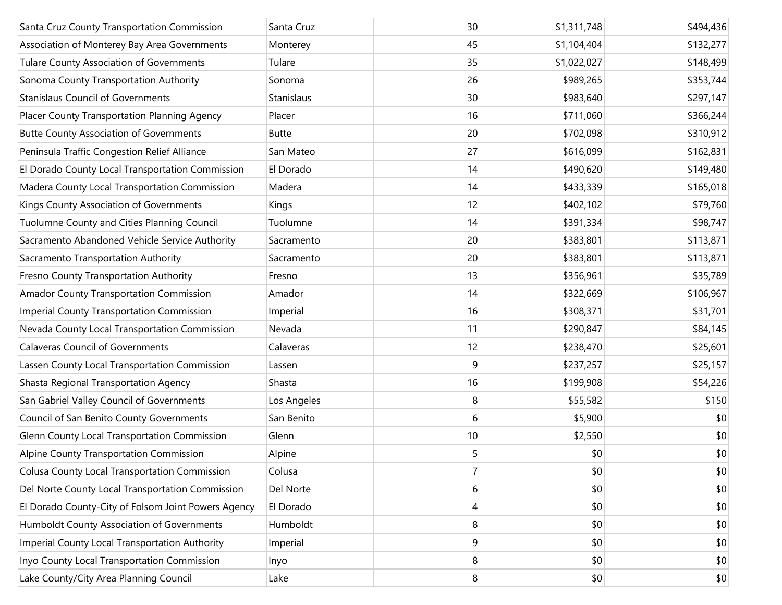| Santa Cruz County Transportation Commission          | Santa Cruz   | 30   | \$1,311,748 | \$494,436 |
|------------------------------------------------------|--------------|------|-------------|-----------|
| Association of Monterey Bay Area Governments         | Monterey     | 45   | \$1,104,404 | \$132,277 |
| Tulare County Association of Governments             | Tulare       | 35   | \$1,022,027 | \$148,499 |
| Sonoma County Transportation Authority               | Sonoma       | 26   | \$989,265   | \$353,744 |
| <b>Stanislaus Council of Governments</b>             | Stanislaus   | 30   | \$983,640   | \$297,147 |
| Placer County Transportation Planning Agency         | Placer       | 16   | \$711,060   | \$366,244 |
| <b>Butte County Association of Governments</b>       | <b>Butte</b> | 20   | \$702,098   | \$310,912 |
| Peninsula Traffic Congestion Relief Alliance         | San Mateo    | 27   | \$616,099   | \$162,831 |
| El Dorado County Local Transportation Commission     | El Dorado    | 14   | \$490,620   | \$149,480 |
| Madera County Local Transportation Commission        | Madera       | 14   | \$433,339   | \$165,018 |
| Kings County Association of Governments              | Kings        | 12   | \$402,102   | \$79,760  |
| Tuolumne County and Cities Planning Council          | Tuolumne     | 14   | \$391,334   | \$98,747  |
| Sacramento Abandoned Vehicle Service Authority       | Sacramento   | 20   | \$383,801   | \$113,871 |
| Sacramento Transportation Authority                  | Sacramento   | 20   | \$383,801   | \$113,871 |
| Fresno County Transportation Authority               | Fresno       | 13   | \$356,961   | \$35,789  |
| Amador County Transportation Commission              | Amador       | 14   | \$322,669   | \$106,967 |
| <b>Imperial County Transportation Commission</b>     | Imperial     | 16   | \$308,371   | \$31,701  |
| Nevada County Local Transportation Commission        | Nevada       | 11   | \$290,847   | \$84,145  |
| <b>Calaveras Council of Governments</b>              | Calaveras    | 12   | \$238,470   | \$25,601  |
| Lassen County Local Transportation Commission        | Lassen       | 9    | \$237,257   | \$25,157  |
| Shasta Regional Transportation Agency                | Shasta       | 16   | \$199,908   | \$54,226  |
| San Gabriel Valley Council of Governments            | Los Angeles  | 8    | \$55,582    | \$150     |
| Council of San Benito County Governments             | San Benito   | 6    | \$5,900     | \$0       |
| Glenn County Local Transportation Commission         | Glenn        | $10$ | \$2,550     | \$0       |
| Alpine County Transportation Commission              | Alpine       | 5    | \$0         | \$0       |
| <b>Colusa County Local Transportation Commission</b> | Colusa       | 7    | \$0         | \$0       |
| Del Norte County Local Transportation Commission     | Del Norte    | 6    | \$0         | \$0       |
| El Dorado County-City of Folsom Joint Powers Agency  | El Dorado    | 4    | \$0         | \$0       |
| Humboldt County Association of Governments           | Humboldt     | 8    | \$0         | \$0       |
| Imperial County Local Transportation Authority       | Imperial     | 9    | \$0         | \$0       |
| Inyo County Local Transportation Commission          | Inyo         | 8    | \$0         | \$0       |
| Lake County/City Area Planning Council               | Lake         | 8    | \$0         | \$0       |